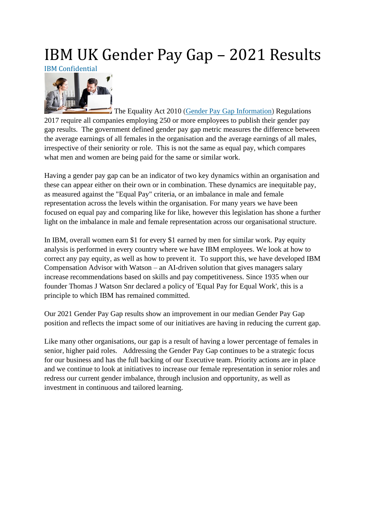# IBM UK Gender Pay Gap – 2021 Results

IBM Confidential



**The Equality Act 2010 (Gender Pay Gap [Information\)](https://www.legislation.gov.uk/ukdsi/2017/9780111152010) Regulations** 2017 require all companies employing 250 or more employees to publish their gender pay gap results. The government defined gender pay gap metric measures the difference between the average earnings of all females in the organisation and the average earnings of all males, irrespective of their seniority or role. This is not the same as equal pay, which compares what men and women are being paid for the same or similar work.

Having a gender pay gap can be an indicator of two key dynamics within an organisation and these can appear either on their own or in combination. These dynamics are inequitable pay, as measured against the "Equal Pay" criteria, or an imbalance in male and female representation across the levels within the organisation. For many years we have been focused on equal pay and comparing like for like, however this legislation has shone a further light on the imbalance in male and female representation across our organisational structure.

In IBM, overall women earn \$1 for every \$1 earned by men for similar work. Pay equity analysis is performed in every country where we have IBM employees. We look at how to correct any pay equity, as well as how to prevent it. To support this, we have developed IBM Compensation Advisor with Watson – an AI-driven solution that gives managers salary increase recommendations based on skills and pay competitiveness. Since 1935 when our founder Thomas J Watson Snr declared a policy of 'Equal Pay for Equal Work', this is a principle to which IBM has remained committed.

Our 2021 Gender Pay Gap results show an improvement in our median Gender Pay Gap position and reflects the impact some of our initiatives are having in reducing the current gap.

Like many other organisations, our gap is a result of having a lower percentage of females in senior, higher paid roles*.* Addressing the Gender Pay Gap continues to be a strategic focus for our business and has the full backing of our Executive team. Priority actions are in place and we continue to look at initiatives to increase our female representation in senior roles and redress our current gender imbalance, through inclusion and opportunity, as well as investment in continuous and tailored learning.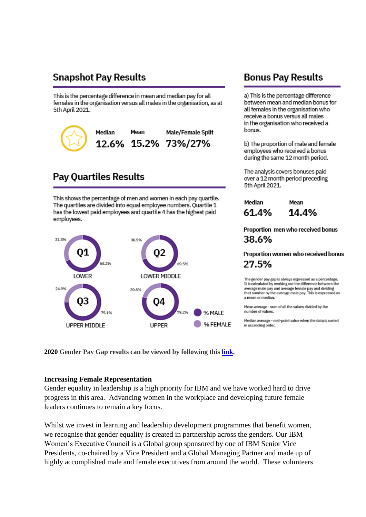## **Snapshot Pay Results**

This is the percentage difference in mean and median pay for all females in the organisation versus all males in the organisation, as at 5th April 2021.



## **Pay Quartiles Results**

This shows the percentage of men and women in each pay quartile. The quartiles are divided into equal employee numbers. Quartile 1 has the lowest paid employees and quartile 4 has the highest paid employees.



## **Bonus Pay Results**

a) This is the percentage difference between mean and median bonus for all females in the organisation who receive a bonus versus all males in the organisation who received a bonus.

b) The proportion of male and female employees who received a bonus during the same 12 month period.

The analysis covers bonuses paid over a 12 month period preceding 5th April 2021.

| Median | Mean  |
|--------|-------|
| 61.4%  | 14.4% |

### Proportion men who received bonus 38.6%

Proportion women who received bonus 27.5%

The gender pay gap is always expressed as a percentage. It is calculated by working out the difference between the average male pay and average female pay and dividing that number by the average male pay. This is expressed as a mean or median.

Mean average - sum of all the values divided by the number of values.

Median average - mid-point value when the data is sorted in ascending order.

2020 Gender Pay Gap results can be viewed by following this link.

#### **Increasing Female Representation**

Gender equality in leadership is a high priority for IBM and we have worked hard to drive progress in this area. Advancing women in the workplace and developing future female leaders continues to remain a key focus.

Whilst we invest in learning and leadership development programmes that benefit women, we recognise that gender equality is created in partnership across the genders. Our IBM Women's Executive Council is a Global group sponsored by one of IBM Senior Vice Presidents, co-chaired by a Vice President and a Global Managing Partner and made up of highly accomplished male and female executives from around the world. These volunteers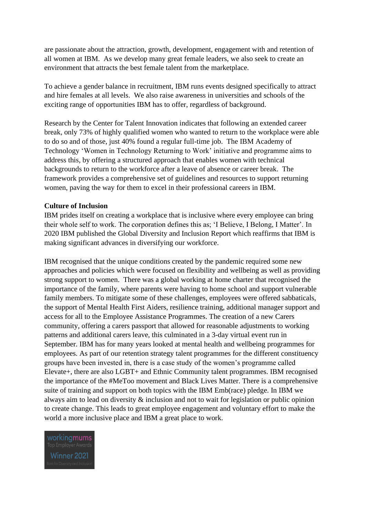are passionate about the attraction, growth, development, engagement with and retention of all women at IBM. As we develop many great female leaders, we also seek to create an environment that attracts the best female talent from the marketplace.

To achieve a gender balance in recruitment, IBM runs events designed specifically to attract and hire females at all levels. We also raise awareness in universities and schools of the exciting range of opportunities IBM has to offer, regardless of background.

Research by the Center for Talent Innovation indicates that following an extended career break, only 73% of highly qualified women who wanted to return to the workplace were able to do so and of those, just 40% found a regular full-time job. The IBM Academy of Technology 'Women in Technology Returning to Work' initiative and programme aims to address this, by offering a structured approach that enables women with technical backgrounds to return to the workforce after a leave of absence or career break. The framework provides a comprehensive set of guidelines and resources to support returning women, paving the way for them to excel in their professional careers in IBM.

#### **Culture of Inclusion**

IBM prides itself on creating a workplace that is inclusive where every employee can bring their whole self to work. The corporation defines this as; 'I Believe, I Belong, I Matter'. In 2020 IBM published the Global Diversity and Inclusion Report which reaffirms that IBM is making significant advances in diversifying our workforce.

IBM recognised that the unique conditions created by the pandemic required some new approaches and policies which were focused on flexibility and wellbeing as well as providing strong support to women. There was a global working at home charter that recognised the importance of the family, where parents were having to home school and support vulnerable family members. To mitigate some of these challenges, employees were offered sabbaticals, the support of Mental Health First Aiders, resilience training, additional manager support and access for all to the Employee Assistance Programmes. The creation of a new Carers community, offering a carers passport that allowed for reasonable adjustments to working patterns and additional carers leave, this culminated in a 3-day virtual event run in September. IBM has for many years looked at mental health and wellbeing programmes for employees. As part of our retention strategy talent programmes for the different constituency groups have been invested in, there is a case study of the women's programme called Elevate+, there are also LGBT+ and Ethnic Community talent programmes. IBM recognised the importance of the #MeToo movement and Black Lives Matter. There is a comprehensive suite of training and support on both topics with the IBM Emb(race) pledge. In IBM we always aim to lead on diversity & inclusion and not to wait for legislation or public opinion to create change. This leads to great employee engagement and voluntary effort to make the world a more inclusive place and IBM a great place to work.

workingmums Winner 2021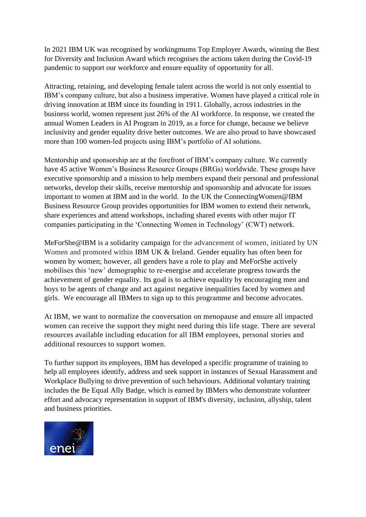In 2021 IBM UK was recognised by workingmums Top Employer Awards, winning the Best for Diversity and Inclusion Award which recognises the actions taken during the Covid-19 pandemic to support our workforce and ensure equality of opportunity for all.

Attracting, retaining, and developing female talent across the world is not only essential to IBM's company culture, but also a business imperative. Women have played a critical role in driving innovation at IBM since its founding in 1911. Globally, across industries in the business world, women represent just 26% of the AI workforce. In response, we created the annual Women Leaders in AI Program in 2019, as a force for change, because we believe inclusivity and gender equality drive better outcomes. We are also proud to have showcased more than 100 women-led projects using IBM's portfolio of AI solutions.

Mentorship and sponsorship are at the forefront of IBM's company culture. We currently have 45 active Women's Business Resource Groups (BRGs) worldwide. These groups have executive sponsorship and a mission to help members expand their personal and professional networks, develop their skills, receive mentorship and sponsorship and advocate for issues important to women at IBM and in the world. In the UK the ConnectingWomen@IBM Business Resource Group provides opportunities for IBM women to extend their network, share experiences and attend workshops, including shared events with other major IT companies participating in the 'Connecting Women in Technology' (CWT) network.

MeForShe@IBM is a solidarity campaign for the advancement of women, initiated by UN Women and promoted within IBM UK & Ireland. Gender equality has often been for women by women; however, all genders have a role to play and MeForShe actively mobilises this 'new' demographic to re-energise and accelerate progress towards the achievement of gender equality. Its goal is to achieve equality by encouraging men and boys to be agents of change and act against negative inequalities faced by women and girls. We encourage all IBMers to sign up to this programme and become advocates.

At IBM, we want to normalize the conversation on menopause and ensure all impacted women can receive the support they might need during this life stage. There are several resources available including education for all IBM employees, personal stories and additional resources to support women.

To further support its employees, IBM has developed a specific programme of training to help all employees identify, address and seek support in instances of Sexual Harassment and Workplace Bullying to drive prevention of such behaviours. Additional voluntary training includes the Be Equal Ally Badge, which is earned by IBMers who demonstrate volunteer effort and advocacy representation in support of IBM's diversity, inclusion, allyship, talent and business priorities.